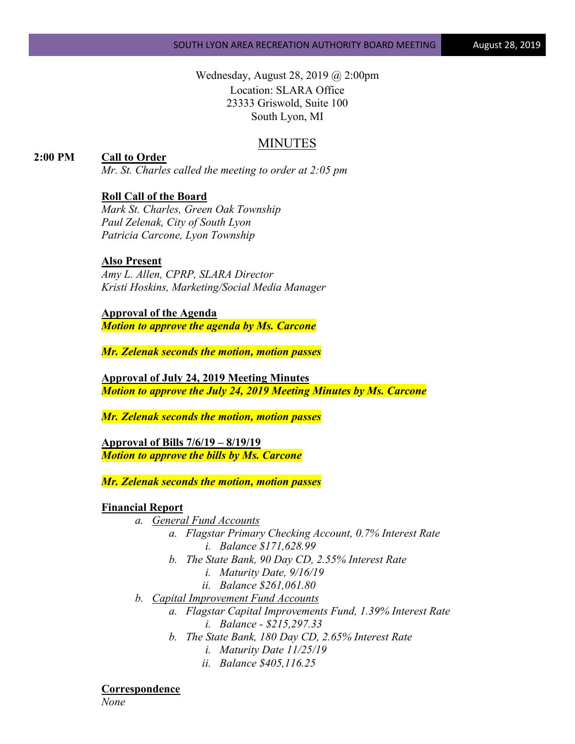Wednesday, August 28, 2019 @ 2:00pm Location: SLARA Office 23333 Griswold, Suite 100 South Lyon, MI

## MINUTES

**2:00 PM Call to Order**

*Mr. St. Charles called the meeting to order at 2:05 pm*

## **Roll Call of the Board**

*Mark St. Charles, Green Oak Township Paul Zelenak, City of South Lyon Patricia Carcone, Lyon Township*

#### **Also Present**

*Amy L. Allen, CPRP, SLARA Director Kristi Hoskins, Marketing/Social Media Manager*

**Approval of the Agenda** *Motion to approve the agenda by Ms. Carcone*

*Mr. Zelenak seconds the motion, motion passes*

**Approval of July 24, 2019 Meeting Minutes** *Motion to approve the July 24, 2019 Meeting Minutes by Ms. Carcone*

*Mr. Zelenak seconds the motion, motion passes*

**Approval of Bills 7/6/19 – 8/19/19** *Motion to approve the bills by Ms. Carcone*

*Mr. Zelenak seconds the motion, motion passes*

#### **Financial Report**

- *a. General Fund Accounts*
	- *a. Flagstar Primary Checking Account, 0.7% Interest Rate i. Balance \$171,628.99*
	- *b. The State Bank, 90 Day CD, 2.55% Interest Rate*
		- *i. Maturity Date, 9/16/19*
		- *ii. Balance \$261,061.80*
- *b. Capital Improvement Fund Accounts*
	- *a. Flagstar Capital Improvements Fund, 1.39% Interest Rate i. Balance - \$215,297.33*
	- *b. The State Bank, 180 Day CD, 2.65% Interest Rate*
		- *i. Maturity Date 11/25/19*
		- *ii. Balance \$405,116.25*

**Correspondence**

*None*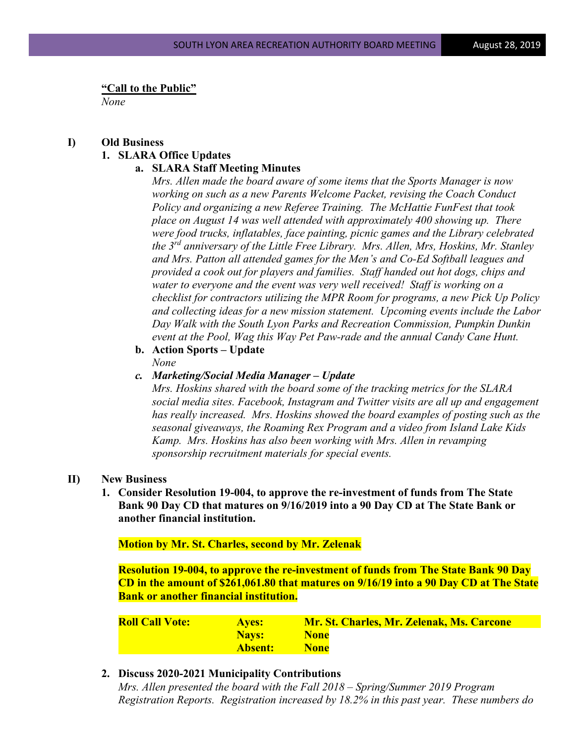**"Call to the Public"**

*None*

# **I) Old Business 1. SLARA Office Updates**

### **a. SLARA Staff Meeting Minutes**

*Mrs. Allen made the board aware of some items that the Sports Manager is now working on such as a new Parents Welcome Packet, revising the Coach Conduct Policy and organizing a new Referee Training. The McHattie FunFest that took place on August 14 was well attended with approximately 400 showing up. There were food trucks, inflatables, face painting, picnic games and the Library celebrated the 3rd anniversary of the Little Free Library. Mrs. Allen, Mrs, Hoskins, Mr. Stanley and Mrs. Patton all attended games for the Men's and Co-Ed Softball leagues and provided a cook out for players and families. Staff handed out hot dogs, chips and water to everyone and the event was very well received! Staff is working on a checklist for contractors utilizing the MPR Room for programs, a new Pick Up Policy and collecting ideas for a new mission statement. Upcoming events include the Labor Day Walk with the South Lyon Parks and Recreation Commission, Pumpkin Dunkin event at the Pool, Wag this Way Pet Paw-rade and the annual Candy Cane Hunt.*

- **b. Action Sports – Update** *None*
- *c. Marketing/Social Media Manager – Update*

*Mrs. Hoskins shared with the board some of the tracking metrics for the SLARA social media sites. Facebook, Instagram and Twitter visits are all up and engagement has really increased. Mrs. Hoskins showed the board examples of posting such as the seasonal giveaways, the Roaming Rex Program and a video from Island Lake Kids Kamp. Mrs. Hoskins has also been working with Mrs. Allen in revamping sponsorship recruitment materials for special events.* 

### **II) New Business**

**1. Consider Resolution 19-004, to approve the re-investment of funds from The State Bank 90 Day CD that matures on 9/16/2019 into a 90 Day CD at The State Bank or another financial institution.**

**Motion by Mr. St. Charles, second by Mr. Zelenak**

**Resolution 19-004, to approve the re-investment of funds from The State Bank 90 Day CD in the amount of \$261,061.80 that matures on 9/16/19 into a 90 Day CD at The State Bank or another financial institution.**

**Roll Call Vote: Ayes: Mr. St. Charles, Mr. Zelenak, Ms. Carcone Nays:** None **Absent: None**

### **2. Discuss 2020-2021 Municipality Contributions**

*Mrs. Allen presented the board with the Fall 2018 – Spring/Summer 2019 Program Registration Reports. Registration increased by 18.2% in this past year. These numbers do*